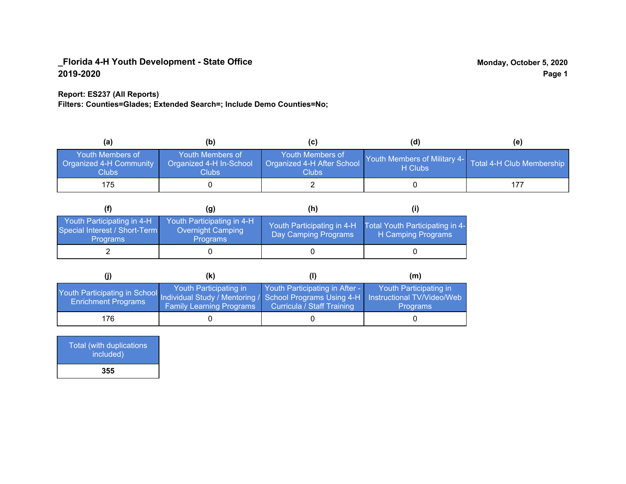### **Report: ES237 (All Reports)**

**Filters: Counties=Glades; Extended Search=; Include Demo Counties=No;**

| (a)                                                                | (b)                                                   | (C)                                                       | (d)                                                               | (e) |
|--------------------------------------------------------------------|-------------------------------------------------------|-----------------------------------------------------------|-------------------------------------------------------------------|-----|
| <b>Youth Members of</b><br><b>Organized 4-H Community</b><br>Clubs | Youth Members of<br>Organized 4-H In-School<br>Clubs: | Youth Members of<br>Organized 4-H After School<br>Clubs : | Youth Members of Military 4- Total 4-H Club Membership<br>H Clubs |     |
| 175                                                                |                                                       |                                                           |                                                                   |     |

|                                                                                |                                                                    | (h)                                                |                                                       |
|--------------------------------------------------------------------------------|--------------------------------------------------------------------|----------------------------------------------------|-------------------------------------------------------|
| Youth Participating in 4-H<br>Special Interest / Short-Term<br><b>Programs</b> | Youth Participating in 4-H<br>Overnight Camping<br><b>Programs</b> | Youth Participating in 4-H<br>Day Camping Programs | Total Youth Participating in 4-<br>H Camping Programs |
|                                                                                |                                                                    |                                                    |                                                       |

|                                                                                                                                                   | (K)                                                       |                                                                     | (m)                                       |
|---------------------------------------------------------------------------------------------------------------------------------------------------|-----------------------------------------------------------|---------------------------------------------------------------------|-------------------------------------------|
| Youth Participating in School Individual Study / Mentoring / School Programs Using 4-H   Instructional TV/Video/Web<br><b>Enrichment Programs</b> | Youth Participating in<br><b>Family Learning Programs</b> | Youth Participating in After -<br><b>Curricula / Staff Training</b> | Youth Participating in<br><b>Programs</b> |
| 176                                                                                                                                               |                                                           |                                                                     |                                           |

| Total (with duplications<br>included) |
|---------------------------------------|
| 355                                   |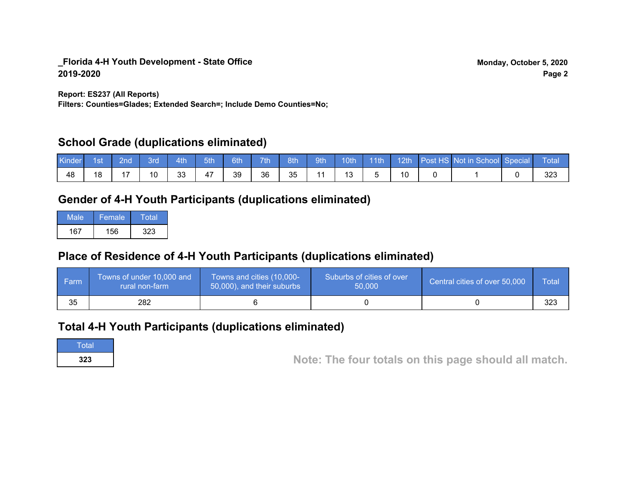**Report: ES237 (All Reports)**

**Filters: Counties=Glades; Extended Search=; Include Demo Counties=No;**

## **School Grade (duplications eliminated)**

| <b>Kinder</b> | 1st | 2nd | 3rd | 4th | 5th | 6th | 7th | 8th | 9th <sup>1</sup> | 10th | 11th | $\parallel$ 12th | Post HS Not in School Special | Total       |
|---------------|-----|-----|-----|-----|-----|-----|-----|-----|------------------|------|------|------------------|-------------------------------|-------------|
| 48            | 18  |     | 10  | 33  | 47  | 39  | 36  | 35  |                  | 12   |      |                  |                               | າາາ<br>ں ےں |

# **Gender of 4-H Youth Participants (duplications eliminated)**

| Male | Female | Total |
|------|--------|-------|
| 167  | 156    | 323   |

# **Place of Residence of 4-H Youth Participants (duplications eliminated)**

| l Farm | Towns of under 10,000 and<br>rural non-farm | Towns and cities (10,000-<br>50,000), and their suburbs | Suburbs of cities of over<br>50,000 | Central cities of over 50,000 | Total |
|--------|---------------------------------------------|---------------------------------------------------------|-------------------------------------|-------------------------------|-------|
| 35     | 282                                         |                                                         |                                     |                               | 323   |

## **Total 4-H Youth Participants (duplications eliminated)**

**Total** 

**<sup>323</sup> Note: The four totals on this page should all match.**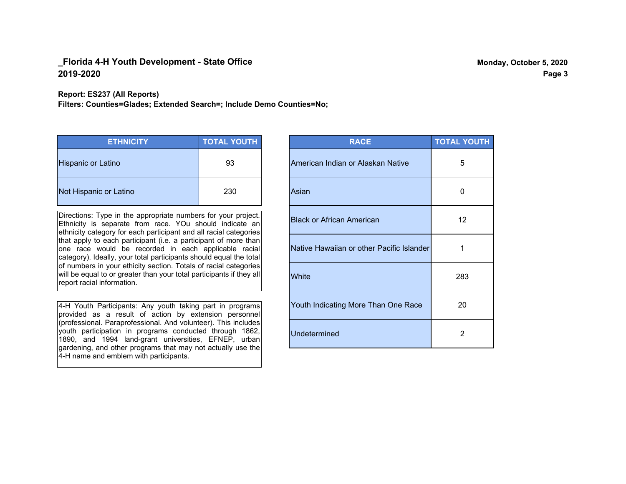#### **Report: ES237 (All Reports)**

**Filters: Counties=Glades; Extended Search=; Include Demo Counties=No;**

| <b>ETHNICITY</b>          | <b>TOTAL YOUTH</b> |
|---------------------------|--------------------|
| <b>Hispanic or Latino</b> | 93                 |
| Not Hispanic or Latino    | 230                |

Directions: Type in the appropriate numbers for your project. Ethnicity is separate from race. YOu should indicate an ethnicity category for each participant and all racial categories that apply to each participant (i.e. a participant of more than one race would be recorded in each applicable racial category). Ideally, your total participants should equal the total of numbers in your ethicity section. Totals of racial categories will be equal to or greater than your total participants if they all report racial information.

4-H Youth Participants: Any youth taking part in programs provided as a result of action by extension personnel (professional. Paraprofessional. And volunteer). This includes youth participation in programs conducted through 1862, 1890, and 1994 land-grant universities, EFNEP, urban gardening, and other programs that may not actually use the 4-H name and emblem with participants.

| <b>RACE</b>                               | <b>TOTAL YOUTH</b> |
|-------------------------------------------|--------------------|
| American Indian or Alaskan Native         | 5                  |
| Asian                                     | 0                  |
| <b>Black or African American</b>          | $12 \overline{ }$  |
| Native Hawaiian or other Pacific Islander | 1                  |
| White                                     | 283                |
| Youth Indicating More Than One Race       | 20                 |
| <b>Undetermined</b>                       | $\overline{2}$     |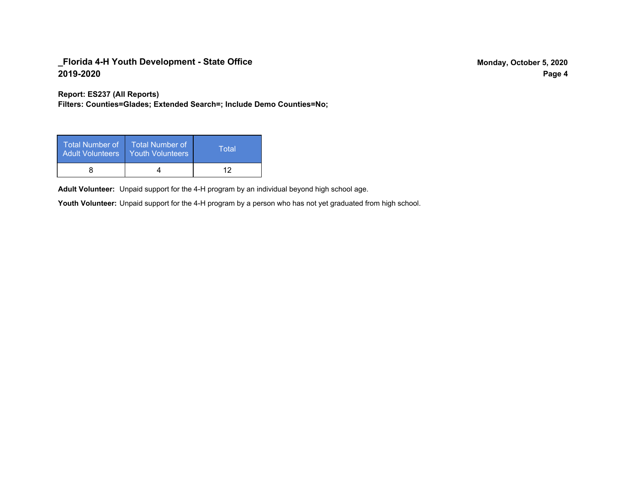**Report: ES237 (All Reports)**

**Filters: Counties=Glades; Extended Search=; Include Demo Counties=No;**

| Total Number of<br><b>Adult Volunteers</b> | <b>Total Number of</b><br>Youth Volunteers | Total |
|--------------------------------------------|--------------------------------------------|-------|
|                                            |                                            | ィク    |

Adult Volunteer: Unpaid support for the 4-H program by an individual beyond high school age.

Youth Volunteer: Unpaid support for the 4-H program by a person who has not yet graduated from high school.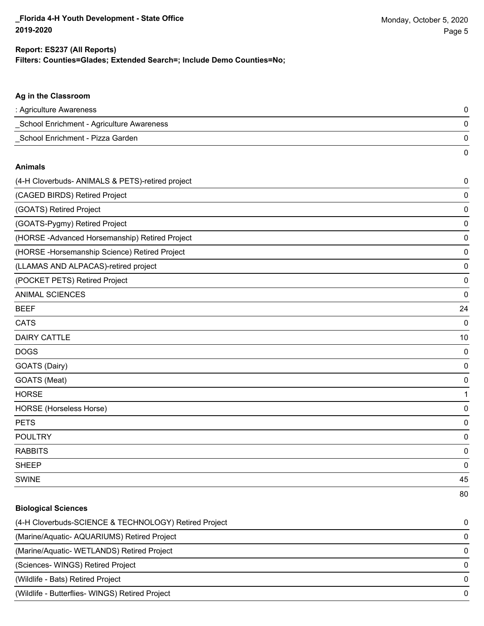0

#### **Ag in the Classroom**

| : Agriculture Awareness                   |  |
|-------------------------------------------|--|
| School Enrichment - Agriculture Awareness |  |
| School Enrichment - Pizza Garden          |  |

#### **Animals**

| (4-H Cloverbuds- ANIMALS & PETS)-retired project | $\pmb{0}$   |
|--------------------------------------------------|-------------|
| (CAGED BIRDS) Retired Project                    | 0           |
| (GOATS) Retired Project                          | 0           |
| (GOATS-Pygmy) Retired Project                    | $\mathbf 0$ |
| (HORSE-Advanced Horsemanship) Retired Project    | 0           |
| (HORSE - Horsemanship Science) Retired Project   | 0           |
| (LLAMAS AND ALPACAS)-retired project             | 0           |
| (POCKET PETS) Retired Project                    | 0           |
| <b>ANIMAL SCIENCES</b>                           | 0           |
| <b>BEEF</b>                                      | 24          |
| <b>CATS</b>                                      | 0           |
| <b>DAIRY CATTLE</b>                              | 10          |
| <b>DOGS</b>                                      | 0           |
| GOATS (Dairy)                                    | 0           |
| GOATS (Meat)                                     | 0           |
| <b>HORSE</b>                                     | 1           |
| HORSE (Horseless Horse)                          | 0           |
| <b>PETS</b>                                      | 0           |
| <b>POULTRY</b>                                   | 0           |
| <b>RABBITS</b>                                   | 0           |
| <b>SHEEP</b>                                     | 0           |
| <b>SWINE</b>                                     | 45          |
|                                                  | 80          |

#### **Biological Sciences**

| (4-H Cloverbuds-SCIENCE & TECHNOLOGY) Retired Project | $\Omega$ |
|-------------------------------------------------------|----------|
| (Marine/Aquatic-AQUARIUMS) Retired Project            | $\Omega$ |
| (Marine/Aquatic-WETLANDS) Retired Project             | $\Omega$ |
| (Sciences-WINGS) Retired Project                      | $\Omega$ |
| (Wildlife - Bats) Retired Project                     | $\Omega$ |
| (Wildlife - Butterflies- WINGS) Retired Project       | $\Omega$ |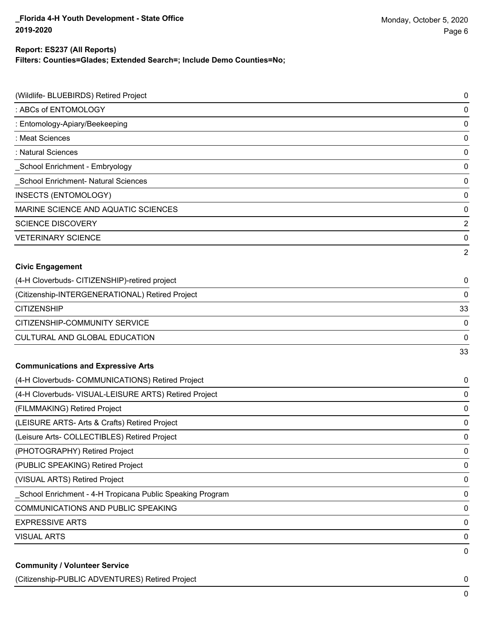### **Filters: Counties=Glades; Extended Search=; Include Demo Counties=No; Report: ES237 (All Reports)**

| (Wildlife- BLUEBIRDS) Retired Project                      | 0  |
|------------------------------------------------------------|----|
| : ABCs of ENTOMOLOGY                                       | 0  |
| : Entomology-Apiary/Beekeeping                             | 0  |
| : Meat Sciences                                            | 0  |
| : Natural Sciences                                         | 0  |
| _School Enrichment - Embryology                            | 0  |
| School Enrichment- Natural Sciences                        | 0  |
| <b>INSECTS (ENTOMOLOGY)</b>                                | 0  |
| MARINE SCIENCE AND AQUATIC SCIENCES                        | 0  |
| <b>SCIENCE DISCOVERY</b>                                   | 2  |
| <b>VETERINARY SCIENCE</b>                                  | 0  |
|                                                            | 2  |
| <b>Civic Engagement</b>                                    |    |
| (4-H Cloverbuds- CITIZENSHIP)-retired project              | 0  |
| (Citizenship-INTERGENERATIONAL) Retired Project            | 0  |
| <b>CITIZENSHIP</b>                                         | 33 |
| CITIZENSHIP-COMMUNITY SERVICE                              | 0  |
| CULTURAL AND GLOBAL EDUCATION                              | 0  |
|                                                            | 33 |
| <b>Communications and Expressive Arts</b>                  |    |
| (4-H Cloverbuds- COMMUNICATIONS) Retired Project           | 0  |
| (4-H Cloverbuds- VISUAL-LEISURE ARTS) Retired Project      | 0  |
| (FILMMAKING) Retired Project                               | 0  |
| (LEISURE ARTS- Arts & Crafts) Retired Project              | 0  |
| (Leisure Arts- COLLECTIBLES) Retired Project               | 0  |
| (PHOTOGRAPHY) Retired Project                              | 0  |
| (PUBLIC SPEAKING) Retired Project                          | 0  |
| (VISUAL ARTS) Retired Project                              | 0  |
| _School Enrichment - 4-H Tropicana Public Speaking Program | 0  |
| COMMUNICATIONS AND PUBLIC SPEAKING                         | 0  |
| <b>EXPRESSIVE ARTS</b>                                     | 0  |
| <b>VISUAL ARTS</b>                                         | 0  |
|                                                            | 0  |

(Citizenship-PUBLIC ADVENTURES) Retired Project 0

0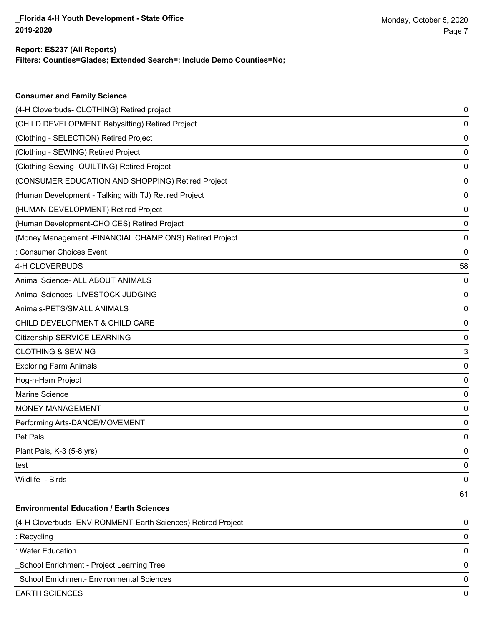**Consumer and Family Science**

### **Filters: Counties=Glades; Extended Search=; Include Demo Counties=No; Report: ES237 (All Reports)**

| (4-H Cloverbuds- CLOTHING) Retired project                   | 0  |
|--------------------------------------------------------------|----|
| (CHILD DEVELOPMENT Babysitting) Retired Project              | 0  |
| (Clothing - SELECTION) Retired Project                       | 0  |
| (Clothing - SEWING) Retired Project                          | 0  |
| (Clothing-Sewing- QUILTING) Retired Project                  | 0  |
| (CONSUMER EDUCATION AND SHOPPING) Retired Project            | 0  |
| (Human Development - Talking with TJ) Retired Project        | 0  |
| (HUMAN DEVELOPMENT) Retired Project                          | 0  |
| (Human Development-CHOICES) Retired Project                  | 0  |
| (Money Management - FINANCIAL CHAMPIONS) Retired Project     | 0  |
| : Consumer Choices Event                                     | 0  |
| 4-H CLOVERBUDS                                               | 58 |
| Animal Science- ALL ABOUT ANIMALS                            | 0  |
| Animal Sciences- LIVESTOCK JUDGING                           | 0  |
| Animals-PETS/SMALL ANIMALS                                   | 0  |
| CHILD DEVELOPMENT & CHILD CARE                               | 0  |
| Citizenship-SERVICE LEARNING                                 | 0  |
| <b>CLOTHING &amp; SEWING</b>                                 | 3  |
| <b>Exploring Farm Animals</b>                                | 0  |
| Hog-n-Ham Project                                            | 0  |
| Marine Science                                               | 0  |
| <b>MONEY MANAGEMENT</b>                                      | 0  |
| Performing Arts-DANCE/MOVEMENT                               | 0  |
| Pet Pals                                                     | 0  |
| Plant Pals, K-3 (5-8 yrs)                                    | 0  |
| test                                                         | 0  |
| Wildlife - Birds                                             | 0  |
|                                                              | 61 |
| <b>Environmental Education / Earth Sciences</b>              |    |
| (4-H Cloverbuds- ENVIRONMENT-Earth Sciences) Retired Project | 0  |
| : Recycling                                                  | 0  |
| : Water Education                                            | 0  |
| School Enrichment - Project Learning Tree                    | 0  |
| School Enrichment- Environmental Sciences                    | 0  |
| <b>EARTH SCIENCES</b>                                        | 0  |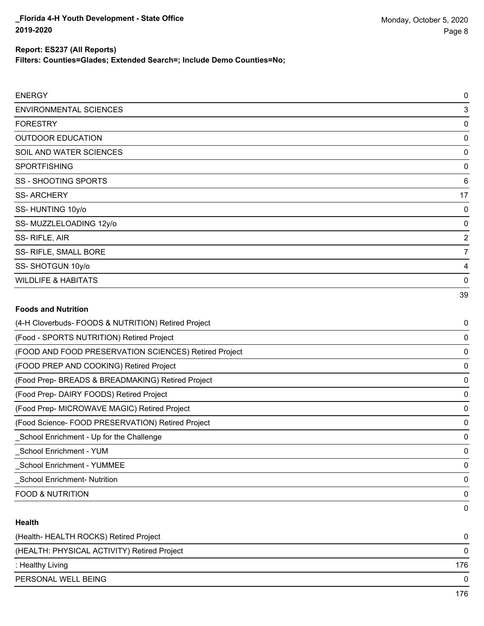**Filters: Counties=Glades; Extended Search=; Include Demo Counties=No;**

| <b>ENERGY</b>                                       | $\mathbf 0$    |
|-----------------------------------------------------|----------------|
| <b>ENVIRONMENTAL SCIENCES</b>                       | 3              |
| <b>FORESTRY</b>                                     | 0              |
| <b>OUTDOOR EDUCATION</b>                            | 0              |
| SOIL AND WATER SCIENCES                             | 0              |
| <b>SPORTFISHING</b>                                 | 0              |
| SS - SHOOTING SPORTS                                | 6              |
| <b>SS-ARCHERY</b>                                   | 17             |
| SS-HUNTING 10y/o                                    | 0              |
| SS-MUZZLELOADING 12y/o                              | 0              |
| SS-RIFLE, AIR                                       | $\overline{2}$ |
| SS- RIFLE, SMALL BORE                               | $\overline{7}$ |
| SS-SHOTGUN 10y/o                                    | 4              |
| <b>WILDLIFE &amp; HABITATS</b>                      | $\mathbf 0$    |
|                                                     | 39             |
| <b>Foods and Nutrition</b>                          |                |
| (4-H Cloverbuds- FOODS & NUTRITION) Retired Project | 0              |

| (4-H Cloverbuds- FOODS & NOTRITION) Retired Project   | U            |
|-------------------------------------------------------|--------------|
| (Food - SPORTS NUTRITION) Retired Project             | 0            |
| (FOOD AND FOOD PRESERVATION SCIENCES) Retired Project | 0            |
| (FOOD PREP AND COOKING) Retired Project               | 0            |
| (Food Prep- BREADS & BREADMAKING) Retired Project     | 0            |
| (Food Prep- DAIRY FOODS) Retired Project              | $\Omega$     |
| (Food Prep- MICROWAVE MAGIC) Retired Project          | 0            |
| (Food Science-FOOD PRESERVATION) Retired Project      | 0            |
| School Enrichment - Up for the Challenge              | 0            |
| School Enrichment - YUM                               | $\mathbf{0}$ |
| School Enrichment - YUMMEE                            | 0            |
| <b>School Enrichment- Nutrition</b>                   | 0            |
| <b>FOOD &amp; NUTRITION</b>                           | 0            |
|                                                       | 0            |

## **Health**

| 176 |
|-----|
|     |
|     |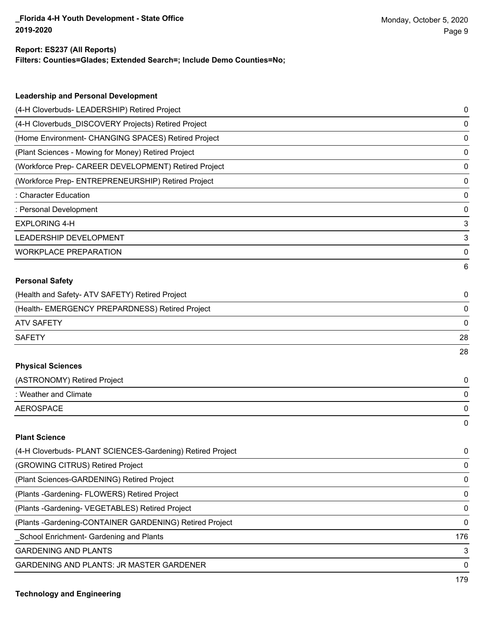#### **Report: ES237 (All Reports)**

**Filters: Counties=Glades; Extended Search=; Include Demo Counties=No;**

| <b>Leadership and Personal Development</b>                 |     |
|------------------------------------------------------------|-----|
| (4-H Cloverbuds- LEADERSHIP) Retired Project               | 0   |
| (4-H Cloverbuds_DISCOVERY Projects) Retired Project        | 0   |
| (Home Environment- CHANGING SPACES) Retired Project        | 0   |
| (Plant Sciences - Mowing for Money) Retired Project        | 0   |
| (Workforce Prep- CAREER DEVELOPMENT) Retired Project       | 0   |
| (Workforce Prep- ENTREPRENEURSHIP) Retired Project         | 0   |
| : Character Education                                      | 0   |
| : Personal Development                                     | 0   |
| <b>EXPLORING 4-H</b>                                       | 3   |
| LEADERSHIP DEVELOPMENT                                     | 3   |
| <b>WORKPLACE PREPARATION</b>                               | 0   |
|                                                            | 6   |
| <b>Personal Safety</b>                                     |     |
| (Health and Safety- ATV SAFETY) Retired Project            | 0   |
| (Health- EMERGENCY PREPARDNESS) Retired Project            | 0   |
| <b>ATV SAFETY</b>                                          | 0   |
| <b>SAFETY</b>                                              | 28  |
|                                                            | 28  |
| <b>Physical Sciences</b>                                   |     |
| (ASTRONOMY) Retired Project                                | 0   |
| : Weather and Climate                                      | 0   |
| <b>AEROSPACE</b>                                           | 0   |
|                                                            | 0   |
| <b>Plant Science</b>                                       |     |
| (4-H Cloverbuds- PLANT SCIENCES-Gardening) Retired Project | 0   |
| (GROWING CITRUS) Retired Project                           | 0   |
| (Plant Sciences-GARDENING) Retired Project                 | 0   |
| (Plants - Gardening - FLOWERS) Retired Project             | 0   |
| (Plants - Gardening - VEGETABLES) Retired Project          | 0   |
| (Plants - Gardening-CONTAINER GARDENING) Retired Project   | 0   |
| School Enrichment- Gardening and Plants                    | 176 |
| <b>GARDENING AND PLANTS</b>                                | 3   |

GARDENING AND PLANTS: JR MASTER GARDENER 0